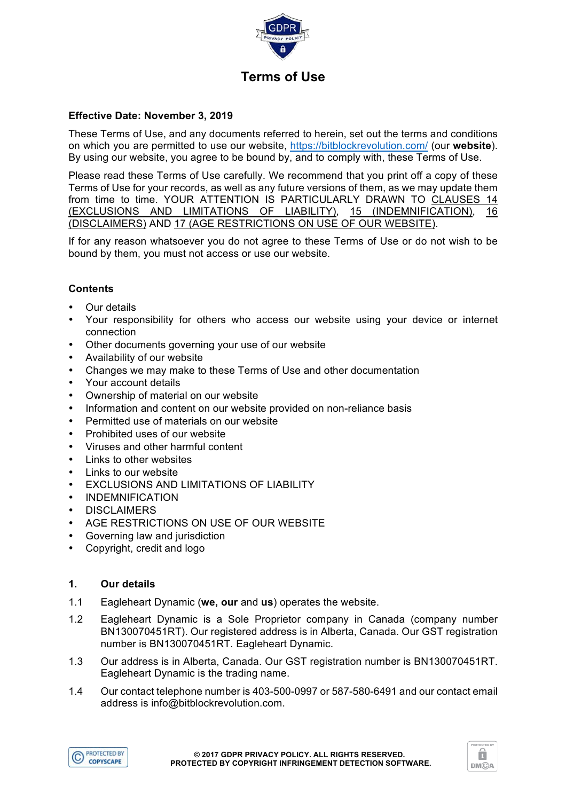

# **Effective Date: November 3, 2019**

These Terms of Use, and any documents referred to herein, set out the terms and conditions on which you are permitted to use our website, https://bitblockrevolution.com/ (our **website**). By using our website, you agree to be bound by, and to comply with, these Terms of Use.

Please read these Terms of Use carefully. We recommend that you print off a copy of these Terms of Use for your records, as well as any future versions of them, as we may update them from time to time. YOUR ATTENTION IS PARTICULARLY DRAWN TO CLAUSES 14 (EXCLUSIONS AND LIMITATIONS OF LIABILITY), 15 (INDEMNIFICATION), 16 (DISCLAIMERS) AND 17 (AGE RESTRICTIONS ON USE OF OUR WEBSITE).

If for any reason whatsoever you do not agree to these Terms of Use or do not wish to be bound by them, you must not access or use our website.

# **Contents**

- **Our details**
- Your responsibility for others who access our website using your device or internet connection
- Other documents governing your use of our website
- Availability of our website
- Changes we may make to these Terms of Use and other documentation
- Your account details
- Ownership of material on our website
- Information and content on our website provided on non-reliance basis
- Permitted use of materials on our website
- Prohibited uses of our website
- Viruses and other harmful content
- Links to other websites
- Links to our website
- **EXCLUSIONS AND LIMITATIONS OF LIABILITY**
- INDEMNIFICATION
- DISCLAIMERS
- AGE RESTRICTIONS ON USE OF OUR WEBSITE
- Governing law and jurisdiction
- Copyright, credit and logo

# **1. Our details**

- 1.1 Eagleheart Dynamic (**we, our** and **us**) operates the website.
- 1.2 Eagleheart Dynamic is a Sole Proprietor company in Canada (company number BN130070451RT). Our registered address is in Alberta, Canada. Our GST registration number is BN130070451RT. Eagleheart Dynamic.
- 1.3 Our address is in Alberta, Canada. Our GST registration number is BN130070451RT. Eagleheart Dynamic is the trading name.
- 1.4 Our contact telephone number is 403-500-0997 or 587-580-6491 and our contact email address is info@bitblockrevolution.com.



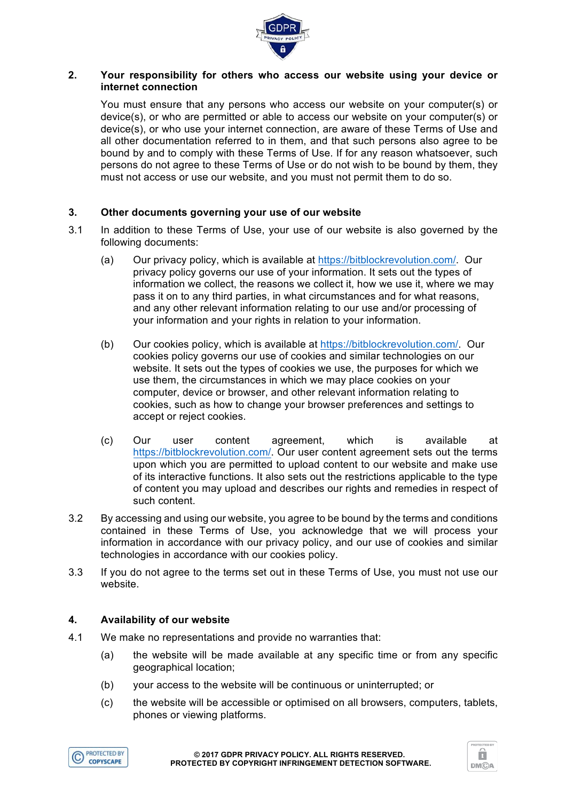

# **2. Your responsibility for others who access our website using your device or internet connection**

You must ensure that any persons who access our website on your computer(s) or device(s), or who are permitted or able to access our website on your computer(s) or device(s), or who use your internet connection, are aware of these Terms of Use and all other documentation referred to in them, and that such persons also agree to be bound by and to comply with these Terms of Use. If for any reason whatsoever, such persons do not agree to these Terms of Use or do not wish to be bound by them, they must not access or use our website, and you must not permit them to do so.

# **3. Other documents governing your use of our website**

- 3.1 In addition to these Terms of Use, your use of our website is also governed by the following documents:
	- (a) Our privacy policy, which is available at https://bitblockrevolution.com/. Our privacy policy governs our use of your information. It sets out the types of information we collect, the reasons we collect it, how we use it, where we may pass it on to any third parties, in what circumstances and for what reasons, and any other relevant information relating to our use and/or processing of your information and your rights in relation to your information.
	- (b) Our cookies policy, which is available at https://bitblockrevolution.com/. Our cookies policy governs our use of cookies and similar technologies on our website. It sets out the types of cookies we use, the purposes for which we use them, the circumstances in which we may place cookies on your computer, device or browser, and other relevant information relating to cookies, such as how to change your browser preferences and settings to accept or reject cookies.
	- (c) Our user content agreement, which is available at https://bitblockrevolution.com/. Our user content agreement sets out the terms upon which you are permitted to upload content to our website and make use of its interactive functions. It also sets out the restrictions applicable to the type of content you may upload and describes our rights and remedies in respect of such content.
- 3.2 By accessing and using our website, you agree to be bound by the terms and conditions contained in these Terms of Use, you acknowledge that we will process your information in accordance with our privacy policy, and our use of cookies and similar technologies in accordance with our cookies policy.
- 3.3 If you do not agree to the terms set out in these Terms of Use, you must not use our website.

# **4. Availability of our website**

- 4.1 We make no representations and provide no warranties that:
	- (a) the website will be made available at any specific time or from any specific geographical location;
	- (b) your access to the website will be continuous or uninterrupted; or
	- (c) the website will be accessible or optimised on all browsers, computers, tablets, phones or viewing platforms.



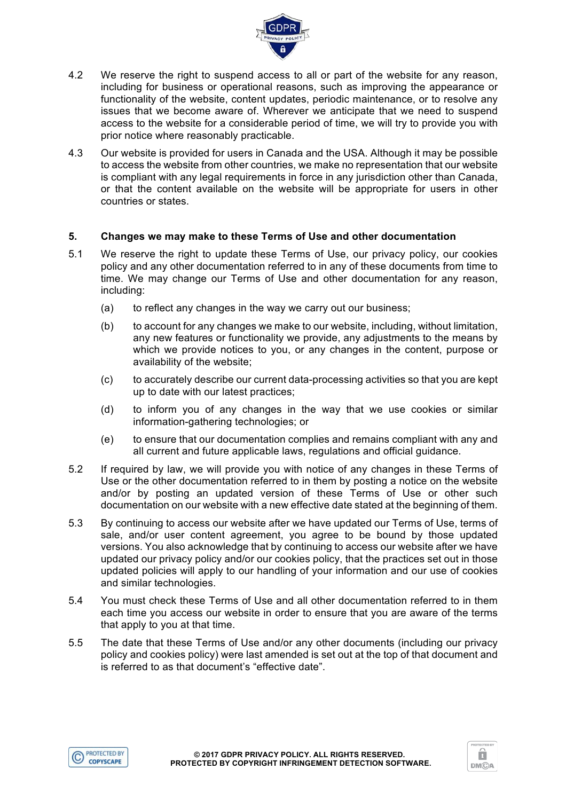

- 4.2 We reserve the right to suspend access to all or part of the website for any reason, including for business or operational reasons, such as improving the appearance or functionality of the website, content updates, periodic maintenance, or to resolve any issues that we become aware of. Wherever we anticipate that we need to suspend access to the website for a considerable period of time, we will try to provide you with prior notice where reasonably practicable.
- 4.3 Our website is provided for users in Canada and the USA. Although it may be possible to access the website from other countries, we make no representation that our website is compliant with any legal requirements in force in any jurisdiction other than Canada, or that the content available on the website will be appropriate for users in other countries or states.

# **5. Changes we may make to these Terms of Use and other documentation**

- 5.1 We reserve the right to update these Terms of Use, our privacy policy, our cookies policy and any other documentation referred to in any of these documents from time to time. We may change our Terms of Use and other documentation for any reason, including:
	- (a) to reflect any changes in the way we carry out our business;
	- (b) to account for any changes we make to our website, including, without limitation, any new features or functionality we provide, any adjustments to the means by which we provide notices to you, or any changes in the content, purpose or availability of the website;
	- (c) to accurately describe our current data-processing activities so that you are kept up to date with our latest practices;
	- (d) to inform you of any changes in the way that we use cookies or similar information-gathering technologies; or
	- (e) to ensure that our documentation complies and remains compliant with any and all current and future applicable laws, regulations and official guidance.
- 5.2 If required by law, we will provide you with notice of any changes in these Terms of Use or the other documentation referred to in them by posting a notice on the website and/or by posting an updated version of these Terms of Use or other such documentation on our website with a new effective date stated at the beginning of them.
- 5.3 By continuing to access our website after we have updated our Terms of Use, terms of sale, and/or user content agreement, you agree to be bound by those updated versions. You also acknowledge that by continuing to access our website after we have updated our privacy policy and/or our cookies policy, that the practices set out in those updated policies will apply to our handling of your information and our use of cookies and similar technologies.
- 5.4 You must check these Terms of Use and all other documentation referred to in them each time you access our website in order to ensure that you are aware of the terms that apply to you at that time.
- 5.5 The date that these Terms of Use and/or any other documents (including our privacy policy and cookies policy) were last amended is set out at the top of that document and is referred to as that document's "effective date".



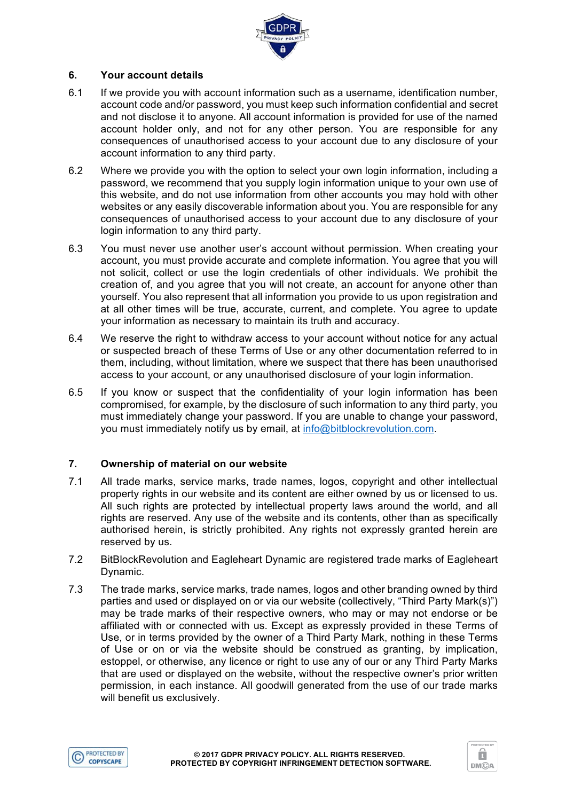

# **6. Your account details**

- 6.1 If we provide you with account information such as a username, identification number, account code and/or password, you must keep such information confidential and secret and not disclose it to anyone. All account information is provided for use of the named account holder only, and not for any other person. You are responsible for any consequences of unauthorised access to your account due to any disclosure of your account information to any third party.
- 6.2 Where we provide you with the option to select your own login information, including a password, we recommend that you supply login information unique to your own use of this website, and do not use information from other accounts you may hold with other websites or any easily discoverable information about you. You are responsible for any consequences of unauthorised access to your account due to any disclosure of your login information to any third party.
- 6.3 You must never use another user's account without permission. When creating your account, you must provide accurate and complete information. You agree that you will not solicit, collect or use the login credentials of other individuals. We prohibit the creation of, and you agree that you will not create, an account for anyone other than yourself. You also represent that all information you provide to us upon registration and at all other times will be true, accurate, current, and complete. You agree to update your information as necessary to maintain its truth and accuracy.
- 6.4 We reserve the right to withdraw access to your account without notice for any actual or suspected breach of these Terms of Use or any other documentation referred to in them, including, without limitation, where we suspect that there has been unauthorised access to your account, or any unauthorised disclosure of your login information.
- 6.5 If you know or suspect that the confidentiality of your login information has been compromised, for example, by the disclosure of such information to any third party, you must immediately change your password. If you are unable to change your password, you must immediately notify us by email, at info@bitblockrevolution.com.

# **7. Ownership of material on our website**

- 7.1 All trade marks, service marks, trade names, logos, copyright and other intellectual property rights in our website and its content are either owned by us or licensed to us. All such rights are protected by intellectual property laws around the world, and all rights are reserved. Any use of the website and its contents, other than as specifically authorised herein, is strictly prohibited. Any rights not expressly granted herein are reserved by us.
- 7.2 BitBlockRevolution and Eagleheart Dynamic are registered trade marks of Eagleheart Dynamic.
- 7.3 The trade marks, service marks, trade names, logos and other branding owned by third parties and used or displayed on or via our website (collectively, "Third Party Mark(s)") may be trade marks of their respective owners, who may or may not endorse or be affiliated with or connected with us. Except as expressly provided in these Terms of Use, or in terms provided by the owner of a Third Party Mark, nothing in these Terms of Use or on or via the website should be construed as granting, by implication, estoppel, or otherwise, any licence or right to use any of our or any Third Party Marks that are used or displayed on the website, without the respective owner's prior written permission, in each instance. All goodwill generated from the use of our trade marks will benefit us exclusively.



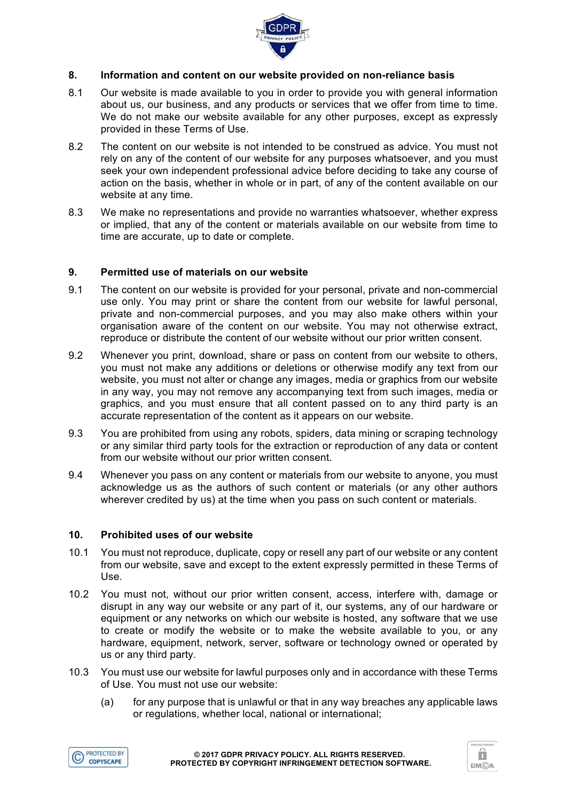

### **8. Information and content on our website provided on non-reliance basis**

- 8.1 Our website is made available to you in order to provide you with general information about us, our business, and any products or services that we offer from time to time. We do not make our website available for any other purposes, except as expressly provided in these Terms of Use.
- 8.2 The content on our website is not intended to be construed as advice. You must not rely on any of the content of our website for any purposes whatsoever, and you must seek your own independent professional advice before deciding to take any course of action on the basis, whether in whole or in part, of any of the content available on our website at any time.
- 8.3 We make no representations and provide no warranties whatsoever, whether express or implied, that any of the content or materials available on our website from time to time are accurate, up to date or complete.

# **9. Permitted use of materials on our website**

- 9.1 The content on our website is provided for your personal, private and non-commercial use only. You may print or share the content from our website for lawful personal, private and non-commercial purposes, and you may also make others within your organisation aware of the content on our website. You may not otherwise extract, reproduce or distribute the content of our website without our prior written consent.
- 9.2 Whenever you print, download, share or pass on content from our website to others, you must not make any additions or deletions or otherwise modify any text from our website, you must not alter or change any images, media or graphics from our website in any way, you may not remove any accompanying text from such images, media or graphics, and you must ensure that all content passed on to any third party is an accurate representation of the content as it appears on our website.
- 9.3 You are prohibited from using any robots, spiders, data mining or scraping technology or any similar third party tools for the extraction or reproduction of any data or content from our website without our prior written consent.
- 9.4 Whenever you pass on any content or materials from our website to anyone, you must acknowledge us as the authors of such content or materials (or any other authors wherever credited by us) at the time when you pass on such content or materials.

#### **10. Prohibited uses of our website**

- 10.1 You must not reproduce, duplicate, copy or resell any part of our website or any content from our website, save and except to the extent expressly permitted in these Terms of Use.
- 10.2 You must not, without our prior written consent, access, interfere with, damage or disrupt in any way our website or any part of it, our systems, any of our hardware or equipment or any networks on which our website is hosted, any software that we use to create or modify the website or to make the website available to you, or any hardware, equipment, network, server, software or technology owned or operated by us or any third party.
- 10.3 You must use our website for lawful purposes only and in accordance with these Terms of Use. You must not use our website:
	- (a) for any purpose that is unlawful or that in any way breaches any applicable laws or regulations, whether local, national or international;



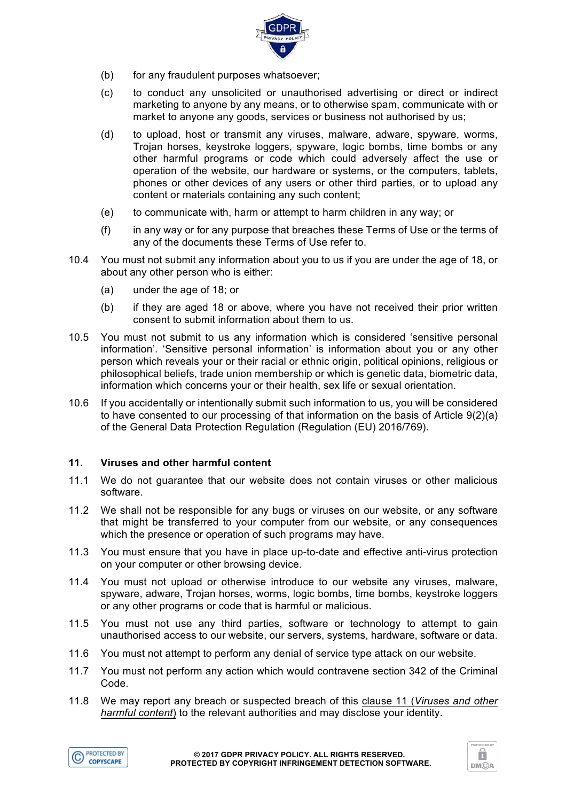

- (b) for any fraudulent purposes whatsoever;
- (c) to conduct any unsolicited or unauthorised advertising or direct or indirect marketing to anyone by any means, or to otherwise spam, communicate with or market to anyone any goods, services or business not authorised by us;
- (d) to upload, host or transmit any viruses, malware, adware, spyware, worms, Trojan horses, keystroke loggers, spyware, logic bombs, time bombs or any other harmful programs or code which could adversely affect the use or operation of the website, our hardware or systems, or the computers, tablets, phones or other devices of any users or other third parties, or to upload any content or materials containing any such content;
- (e) to communicate with, harm or attempt to harm children in any way; or
- (f) in any way or for any purpose that breaches these Terms of Use or the terms of any of the documents these Terms of Use refer to.
- 10.4 You must not submit any information about you to us if you are under the age of 18, or about any other person who is either:
	- (a) under the age of 18; or
	- (b) if they are aged 18 or above, where you have not received their prior written consent to submit information about them to us.
- 10.5 You must not submit to us any information which is considered 'sensitive personal information'. 'Sensitive personal information' is information about you or any other person which reveals your or their racial or ethnic origin, political opinions, religious or philosophical beliefs, trade union membership or which is genetic data, biometric data, information which concerns your or their health, sex life or sexual orientation.
- 10.6 If you accidentally or intentionally submit such information to us, you will be considered to have consented to our processing of that information on the basis of Article 9(2)(a) of the General Data Protection Regulation (Regulation (EU) 2016/769).

# **11. Viruses and other harmful content**

- 11.1 We do not guarantee that our website does not contain viruses or other malicious software.
- 11.2 We shall not be responsible for any bugs or viruses on our website, or any software that might be transferred to your computer from our website, or any consequences which the presence or operation of such programs may have.
- 11.3 You must ensure that you have in place up-to-date and effective anti-virus protection on your computer or other browsing device.
- 11.4 You must not upload or otherwise introduce to our website any viruses, malware, spyware, adware, Trojan horses, worms, logic bombs, time bombs, keystroke loggers or any other programs or code that is harmful or malicious.
- 11.5 You must not use any third parties, software or technology to attempt to gain unauthorised access to our website, our servers, systems, hardware, software or data.
- 11.6 You must not attempt to perform any denial of service type attack on our website.
- 11.7 You must not perform any action which would contravene section 342 of the Criminal Code.
- 11.8 We may report any breach or suspected breach of this clause 11 (*Viruses and other harmful content*) to the relevant authorities and may disclose your identity.



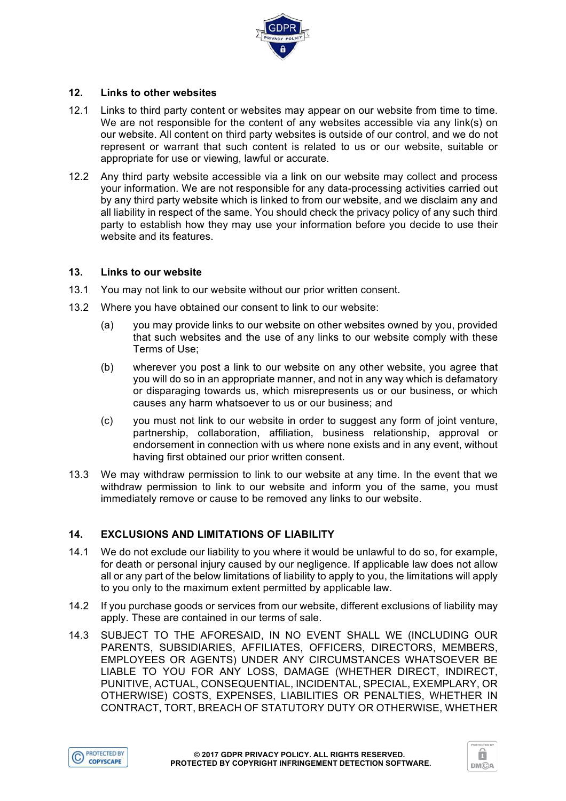

# **12. Links to other websites**

- 12.1 Links to third party content or websites may appear on our website from time to time. We are not responsible for the content of any websites accessible via any link(s) on our website. All content on third party websites is outside of our control, and we do not represent or warrant that such content is related to us or our website, suitable or appropriate for use or viewing, lawful or accurate.
- 12.2 Any third party website accessible via a link on our website may collect and process your information. We are not responsible for any data-processing activities carried out by any third party website which is linked to from our website, and we disclaim any and all liability in respect of the same. You should check the privacy policy of any such third party to establish how they may use your information before you decide to use their website and its features.

# **13. Links to our website**

- 13.1 You may not link to our website without our prior written consent.
- 13.2 Where you have obtained our consent to link to our website:
	- (a) you may provide links to our website on other websites owned by you, provided that such websites and the use of any links to our website comply with these Terms of Use;
	- (b) wherever you post a link to our website on any other website, you agree that you will do so in an appropriate manner, and not in any way which is defamatory or disparaging towards us, which misrepresents us or our business, or which causes any harm whatsoever to us or our business; and
	- (c) you must not link to our website in order to suggest any form of joint venture, partnership, collaboration, affiliation, business relationship, approval or endorsement in connection with us where none exists and in any event, without having first obtained our prior written consent.
- 13.3 We may withdraw permission to link to our website at any time. In the event that we withdraw permission to link to our website and inform you of the same, you must immediately remove or cause to be removed any links to our website.

# **14. EXCLUSIONS AND LIMITATIONS OF LIABILITY**

- 14.1 We do not exclude our liability to you where it would be unlawful to do so, for example, for death or personal injury caused by our negligence. If applicable law does not allow all or any part of the below limitations of liability to apply to you, the limitations will apply to you only to the maximum extent permitted by applicable law.
- 14.2 If you purchase goods or services from our website, different exclusions of liability may apply. These are contained in our terms of sale.
- 14.3 SUBJECT TO THE AFORESAID, IN NO EVENT SHALL WE (INCLUDING OUR PARENTS, SUBSIDIARIES, AFFILIATES, OFFICERS, DIRECTORS, MEMBERS, EMPLOYEES OR AGENTS) UNDER ANY CIRCUMSTANCES WHATSOEVER BE LIABLE TO YOU FOR ANY LOSS, DAMAGE (WHETHER DIRECT, INDIRECT, PUNITIVE, ACTUAL, CONSEQUENTIAL, INCIDENTAL, SPECIAL, EXEMPLARY, OR OTHERWISE) COSTS, EXPENSES, LIABILITIES OR PENALTIES, WHETHER IN CONTRACT, TORT, BREACH OF STATUTORY DUTY OR OTHERWISE, WHETHER



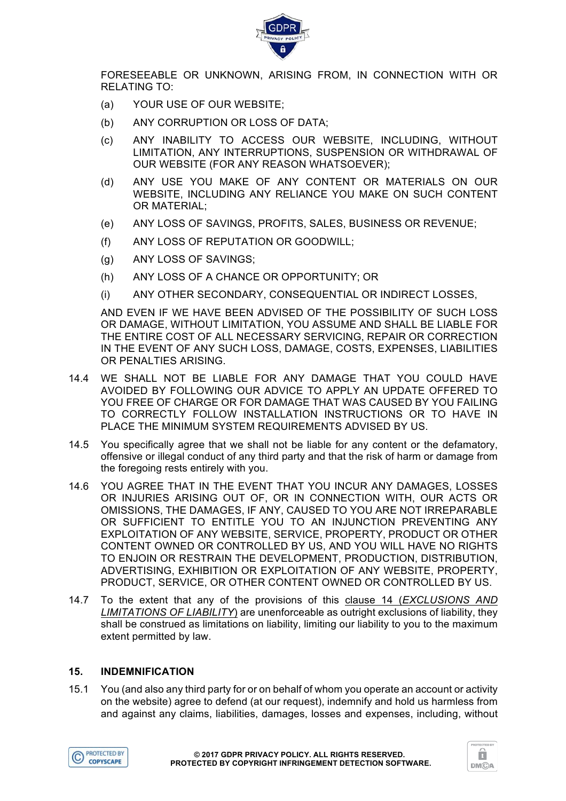

FORESEEABLE OR UNKNOWN, ARISING FROM, IN CONNECTION WITH OR RELATING TO:

- (a) YOUR USE OF OUR WEBSITE;
- (b) ANY CORRUPTION OR LOSS OF DATA;
- (c) ANY INABILITY TO ACCESS OUR WEBSITE, INCLUDING, WITHOUT LIMITATION, ANY INTERRUPTIONS, SUSPENSION OR WITHDRAWAL OF OUR WEBSITE (FOR ANY REASON WHATSOEVER);
- (d) ANY USE YOU MAKE OF ANY CONTENT OR MATERIALS ON OUR WEBSITE, INCLUDING ANY RELIANCE YOU MAKE ON SUCH CONTENT OR MATERIAL;
- (e) ANY LOSS OF SAVINGS, PROFITS, SALES, BUSINESS OR REVENUE;
- (f) ANY LOSS OF REPUTATION OR GOODWILL;
- (g) ANY LOSS OF SAVINGS;
- (h) ANY LOSS OF A CHANCE OR OPPORTUNITY; OR
- (i) ANY OTHER SECONDARY, CONSEQUENTIAL OR INDIRECT LOSSES,

AND EVEN IF WE HAVE BEEN ADVISED OF THE POSSIBILITY OF SUCH LOSS OR DAMAGE, WITHOUT LIMITATION, YOU ASSUME AND SHALL BE LIABLE FOR THE ENTIRE COST OF ALL NECESSARY SERVICING, REPAIR OR CORRECTION IN THE EVENT OF ANY SUCH LOSS, DAMAGE, COSTS, EXPENSES, LIABILITIES OR PENALTIES ARISING.

- 14.4 WE SHALL NOT BE LIABLE FOR ANY DAMAGE THAT YOU COULD HAVE AVOIDED BY FOLLOWING OUR ADVICE TO APPLY AN UPDATE OFFERED TO YOU FREE OF CHARGE OR FOR DAMAGE THAT WAS CAUSED BY YOU FAILING TO CORRECTLY FOLLOW INSTALLATION INSTRUCTIONS OR TO HAVE IN PLACE THE MINIMUM SYSTEM REQUIREMENTS ADVISED BY US.
- 14.5 You specifically agree that we shall not be liable for any content or the defamatory, offensive or illegal conduct of any third party and that the risk of harm or damage from the foregoing rests entirely with you.
- 14.6 YOU AGREE THAT IN THE EVENT THAT YOU INCUR ANY DAMAGES, LOSSES OR INJURIES ARISING OUT OF, OR IN CONNECTION WITH, OUR ACTS OR OMISSIONS, THE DAMAGES, IF ANY, CAUSED TO YOU ARE NOT IRREPARABLE OR SUFFICIENT TO ENTITLE YOU TO AN INJUNCTION PREVENTING ANY EXPLOITATION OF ANY WEBSITE, SERVICE, PROPERTY, PRODUCT OR OTHER CONTENT OWNED OR CONTROLLED BY US, AND YOU WILL HAVE NO RIGHTS TO ENJOIN OR RESTRAIN THE DEVELOPMENT, PRODUCTION, DISTRIBUTION, ADVERTISING, EXHIBITION OR EXPLOITATION OF ANY WEBSITE, PROPERTY, PRODUCT, SERVICE, OR OTHER CONTENT OWNED OR CONTROLLED BY US.
- 14.7 To the extent that any of the provisions of this clause 14 (*EXCLUSIONS AND LIMITATIONS OF LIABILITY*) are unenforceable as outright exclusions of liability, they shall be construed as limitations on liability, limiting our liability to you to the maximum extent permitted by law.

#### **15. INDEMNIFICATION**

15.1 You (and also any third party for or on behalf of whom you operate an account or activity on the website) agree to defend (at our request), indemnify and hold us harmless from and against any claims, liabilities, damages, losses and expenses, including, without



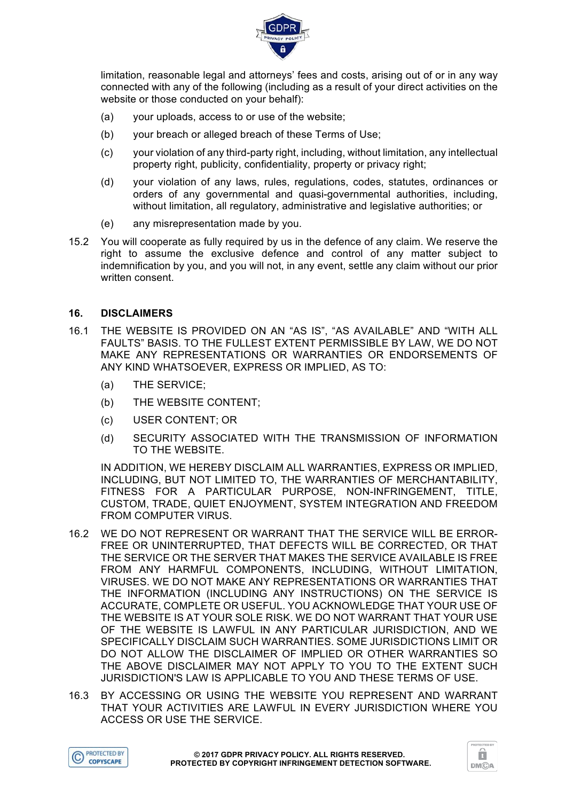

limitation, reasonable legal and attorneys' fees and costs, arising out of or in any way connected with any of the following (including as a result of your direct activities on the website or those conducted on your behalf):

- (a) your uploads, access to or use of the website;
- (b) your breach or alleged breach of these Terms of Use;
- (c) your violation of any third-party right, including, without limitation, any intellectual property right, publicity, confidentiality, property or privacy right;
- (d) your violation of any laws, rules, regulations, codes, statutes, ordinances or orders of any governmental and quasi-governmental authorities, including, without limitation, all regulatory, administrative and legislative authorities; or
- (e) any misrepresentation made by you.
- 15.2 You will cooperate as fully required by us in the defence of any claim. We reserve the right to assume the exclusive defence and control of any matter subject to indemnification by you, and you will not, in any event, settle any claim without our prior written consent.

### **16. DISCLAIMERS**

- 16.1 THE WEBSITE IS PROVIDED ON AN "AS IS", "AS AVAILABLE" AND "WITH ALL FAULTS" BASIS. TO THE FULLEST EXTENT PERMISSIBLE BY LAW, WE DO NOT MAKE ANY REPRESENTATIONS OR WARRANTIES OR ENDORSEMENTS OF ANY KIND WHATSOEVER, EXPRESS OR IMPLIED, AS TO:
	- (a) THE SERVICE;
	- (b) THE WEBSITE CONTENT;
	- (c) USER CONTENT; OR
	- (d) SECURITY ASSOCIATED WITH THE TRANSMISSION OF INFORMATION TO THE WEBSITE.

IN ADDITION, WE HEREBY DISCLAIM ALL WARRANTIES, EXPRESS OR IMPLIED, INCLUDING, BUT NOT LIMITED TO, THE WARRANTIES OF MERCHANTABILITY, FITNESS FOR A PARTICULAR PURPOSE, NON-INFRINGEMENT, TITLE, CUSTOM, TRADE, QUIET ENJOYMENT, SYSTEM INTEGRATION AND FREEDOM FROM COMPUTER VIRUS.

- 16.2 WE DO NOT REPRESENT OR WARRANT THAT THE SERVICE WILL BE ERROR-FREE OR UNINTERRUPTED, THAT DEFECTS WILL BE CORRECTED, OR THAT THE SERVICE OR THE SERVER THAT MAKES THE SERVICE AVAILABLE IS FREE FROM ANY HARMFUL COMPONENTS, INCLUDING, WITHOUT LIMITATION, VIRUSES. WE DO NOT MAKE ANY REPRESENTATIONS OR WARRANTIES THAT THE INFORMATION (INCLUDING ANY INSTRUCTIONS) ON THE SERVICE IS ACCURATE, COMPLETE OR USEFUL. YOU ACKNOWLEDGE THAT YOUR USE OF THE WEBSITE IS AT YOUR SOLE RISK. WE DO NOT WARRANT THAT YOUR USE OF THE WEBSITE IS LAWFUL IN ANY PARTICULAR JURISDICTION, AND WE SPECIFICALLY DISCLAIM SUCH WARRANTIES. SOME JURISDICTIONS LIMIT OR DO NOT ALLOW THE DISCLAIMER OF IMPLIED OR OTHER WARRANTIES SO THE ABOVE DISCLAIMER MAY NOT APPLY TO YOU TO THE EXTENT SUCH JURISDICTION'S LAW IS APPLICABLE TO YOU AND THESE TERMS OF USE.
- 16.3 BY ACCESSING OR USING THE WEBSITE YOU REPRESENT AND WARRANT THAT YOUR ACTIVITIES ARE LAWFUL IN EVERY JURISDICTION WHERE YOU ACCESS OR USE THE SERVICE.